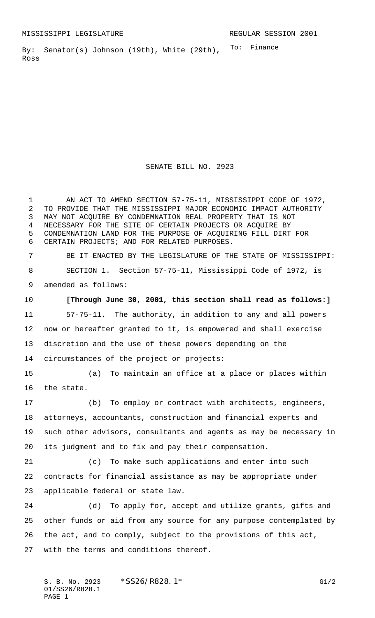To: Finance By: Senator(s) Johnson (19th), White (29th), Ross

SENATE BILL NO. 2923

 AN ACT TO AMEND SECTION 57-75-11, MISSISSIPPI CODE OF 1972, TO PROVIDE THAT THE MISSISSIPPI MAJOR ECONOMIC IMPACT AUTHORITY MAY NOT ACQUIRE BY CONDEMNATION REAL PROPERTY THAT IS NOT NECESSARY FOR THE SITE OF CERTAIN PROJECTS OR ACQUIRE BY CONDEMNATION LAND FOR THE PURPOSE OF ACQUIRING FILL DIRT FOR CERTAIN PROJECTS; AND FOR RELATED PURPOSES.

 BE IT ENACTED BY THE LEGISLATURE OF THE STATE OF MISSISSIPPI: SECTION 1. Section 57-75-11, Mississippi Code of 1972, is amended as follows:

 **[Through June 30, 2001, this section shall read as follows:]** 57-75-11. The authority, in addition to any and all powers now or hereafter granted to it, is empowered and shall exercise discretion and the use of these powers depending on the circumstances of the project or projects:

 (a) To maintain an office at a place or places within the state.

 (b) To employ or contract with architects, engineers, attorneys, accountants, construction and financial experts and such other advisors, consultants and agents as may be necessary in its judgment and to fix and pay their compensation.

 (c) To make such applications and enter into such contracts for financial assistance as may be appropriate under applicable federal or state law.

 (d) To apply for, accept and utilize grants, gifts and other funds or aid from any source for any purpose contemplated by the act, and to comply, subject to the provisions of this act, with the terms and conditions thereof.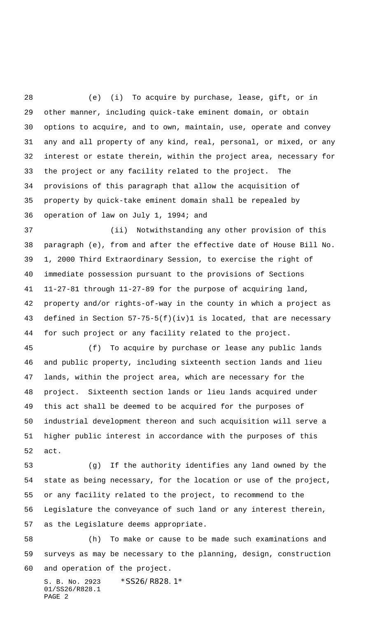(e) (i) To acquire by purchase, lease, gift, or in other manner, including quick-take eminent domain, or obtain options to acquire, and to own, maintain, use, operate and convey any and all property of any kind, real, personal, or mixed, or any interest or estate therein, within the project area, necessary for the project or any facility related to the project. The provisions of this paragraph that allow the acquisition of property by quick-take eminent domain shall be repealed by operation of law on July 1, 1994; and

 (ii) Notwithstanding any other provision of this paragraph (e), from and after the effective date of House Bill No. 1, 2000 Third Extraordinary Session, to exercise the right of immediate possession pursuant to the provisions of Sections 11-27-81 through 11-27-89 for the purpose of acquiring land, property and/or rights-of-way in the county in which a project as defined in Section 57-75-5(f)(iv)1 is located, that are necessary for such project or any facility related to the project.

 (f) To acquire by purchase or lease any public lands and public property, including sixteenth section lands and lieu lands, within the project area, which are necessary for the project. Sixteenth section lands or lieu lands acquired under this act shall be deemed to be acquired for the purposes of industrial development thereon and such acquisition will serve a higher public interest in accordance with the purposes of this act.

 (g) If the authority identifies any land owned by the state as being necessary, for the location or use of the project, or any facility related to the project, to recommend to the Legislature the conveyance of such land or any interest therein, as the Legislature deems appropriate.

 (h) To make or cause to be made such examinations and surveys as may be necessary to the planning, design, construction and operation of the project.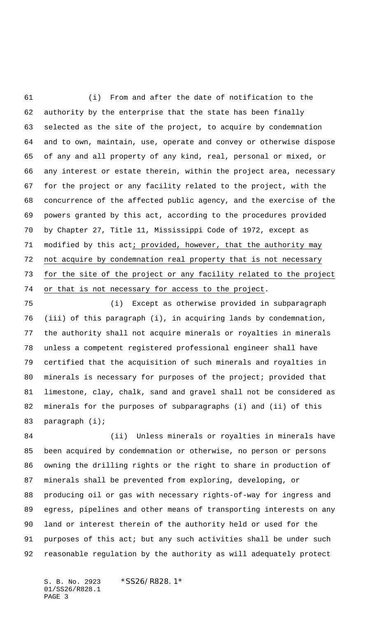(i) From and after the date of notification to the authority by the enterprise that the state has been finally selected as the site of the project, to acquire by condemnation and to own, maintain, use, operate and convey or otherwise dispose of any and all property of any kind, real, personal or mixed, or any interest or estate therein, within the project area, necessary for the project or any facility related to the project, with the concurrence of the affected public agency, and the exercise of the powers granted by this act, according to the procedures provided by Chapter 27, Title 11, Mississippi Code of 1972, except as 71 modified by this act; provided, however, that the authority may not acquire by condemnation real property that is not necessary for the site of the project or any facility related to the project 74 or that is not necessary for access to the project.

 (i) Except as otherwise provided in subparagraph (iii) of this paragraph (i), in acquiring lands by condemnation, the authority shall not acquire minerals or royalties in minerals unless a competent registered professional engineer shall have certified that the acquisition of such minerals and royalties in minerals is necessary for purposes of the project; provided that limestone, clay, chalk, sand and gravel shall not be considered as minerals for the purposes of subparagraphs (i) and (ii) of this paragraph (i);

84 (ii) Unless minerals or royalties in minerals have been acquired by condemnation or otherwise, no person or persons owning the drilling rights or the right to share in production of minerals shall be prevented from exploring, developing, or producing oil or gas with necessary rights-of-way for ingress and egress, pipelines and other means of transporting interests on any land or interest therein of the authority held or used for the purposes of this act; but any such activities shall be under such reasonable regulation by the authority as will adequately protect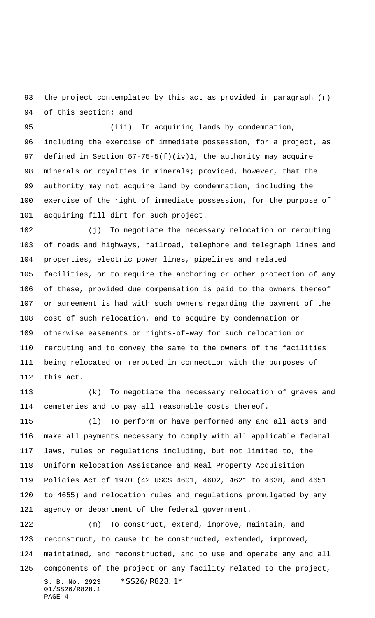the project contemplated by this act as provided in paragraph (r) 94 of this section; and

 (iii) In acquiring lands by condemnation, including the exercise of immediate possession, for a project, as defined in Section 57-75-5(f)(iv)1, the authority may acquire minerals or royalties in minerals; provided, however, that the authority may not acquire land by condemnation, including the exercise of the right of immediate possession, for the purpose of acquiring fill dirt for such project.

 (j) To negotiate the necessary relocation or rerouting of roads and highways, railroad, telephone and telegraph lines and properties, electric power lines, pipelines and related facilities, or to require the anchoring or other protection of any of these, provided due compensation is paid to the owners thereof or agreement is had with such owners regarding the payment of the cost of such relocation, and to acquire by condemnation or otherwise easements or rights-of-way for such relocation or rerouting and to convey the same to the owners of the facilities being relocated or rerouted in connection with the purposes of this act.

 (k) To negotiate the necessary relocation of graves and cemeteries and to pay all reasonable costs thereof.

 (l) To perform or have performed any and all acts and make all payments necessary to comply with all applicable federal laws, rules or regulations including, but not limited to, the Uniform Relocation Assistance and Real Property Acquisition Policies Act of 1970 (42 USCS 4601, 4602, 4621 to 4638, and 4651 to 4655) and relocation rules and regulations promulgated by any agency or department of the federal government.

S. B. No. 2923 \*SS26/R828.1\* 01/SS26/R828.1 PAGE 4 (m) To construct, extend, improve, maintain, and reconstruct, to cause to be constructed, extended, improved, maintained, and reconstructed, and to use and operate any and all components of the project or any facility related to the project,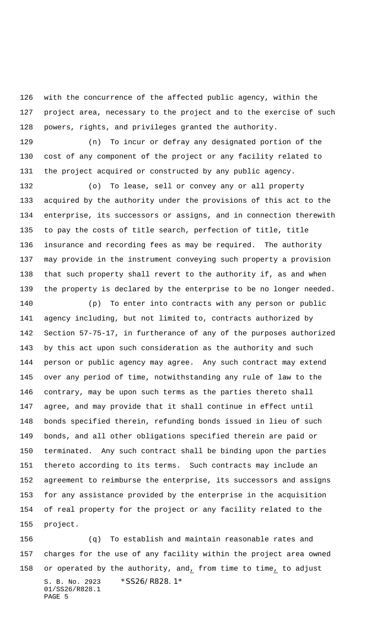with the concurrence of the affected public agency, within the project area, necessary to the project and to the exercise of such powers, rights, and privileges granted the authority.

 (n) To incur or defray any designated portion of the cost of any component of the project or any facility related to the project acquired or constructed by any public agency.

 (o) To lease, sell or convey any or all property acquired by the authority under the provisions of this act to the enterprise, its successors or assigns, and in connection therewith to pay the costs of title search, perfection of title, title insurance and recording fees as may be required. The authority may provide in the instrument conveying such property a provision that such property shall revert to the authority if, as and when the property is declared by the enterprise to be no longer needed.

 (p) To enter into contracts with any person or public agency including, but not limited to, contracts authorized by Section 57-75-17, in furtherance of any of the purposes authorized by this act upon such consideration as the authority and such person or public agency may agree. Any such contract may extend over any period of time, notwithstanding any rule of law to the contrary, may be upon such terms as the parties thereto shall agree, and may provide that it shall continue in effect until bonds specified therein, refunding bonds issued in lieu of such bonds, and all other obligations specified therein are paid or terminated. Any such contract shall be binding upon the parties thereto according to its terms. Such contracts may include an agreement to reimburse the enterprise, its successors and assigns for any assistance provided by the enterprise in the acquisition of real property for the project or any facility related to the project.

S. B. No. 2923 \*SS26/R828.1\* 01/SS26/R828.1 PAGE 5 (q) To establish and maintain reasonable rates and charges for the use of any facility within the project area owned 158 or operated by the authority, and, from time to time, to adjust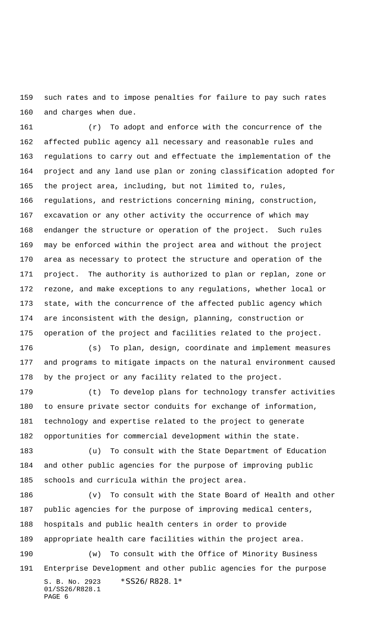such rates and to impose penalties for failure to pay such rates and charges when due.

 (r) To adopt and enforce with the concurrence of the affected public agency all necessary and reasonable rules and regulations to carry out and effectuate the implementation of the project and any land use plan or zoning classification adopted for the project area, including, but not limited to, rules, regulations, and restrictions concerning mining, construction, excavation or any other activity the occurrence of which may endanger the structure or operation of the project. Such rules may be enforced within the project area and without the project area as necessary to protect the structure and operation of the project. The authority is authorized to plan or replan, zone or rezone, and make exceptions to any regulations, whether local or state, with the concurrence of the affected public agency which are inconsistent with the design, planning, construction or operation of the project and facilities related to the project.

 (s) To plan, design, coordinate and implement measures and programs to mitigate impacts on the natural environment caused by the project or any facility related to the project.

 (t) To develop plans for technology transfer activities to ensure private sector conduits for exchange of information, technology and expertise related to the project to generate opportunities for commercial development within the state.

 (u) To consult with the State Department of Education and other public agencies for the purpose of improving public schools and curricula within the project area.

S. B. No. 2923 \*SS26/R828.1\* 01/SS26/R828.1 PAGE 6 (v) To consult with the State Board of Health and other public agencies for the purpose of improving medical centers, hospitals and public health centers in order to provide appropriate health care facilities within the project area. (w) To consult with the Office of Minority Business Enterprise Development and other public agencies for the purpose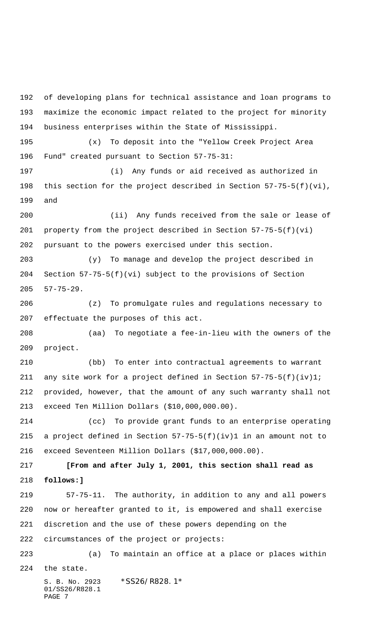S. B. No. 2923 \*SS26/R828.1\* 01/SS26/R828.1 PAGE 7 of developing plans for technical assistance and loan programs to maximize the economic impact related to the project for minority business enterprises within the State of Mississippi. (x) To deposit into the "Yellow Creek Project Area Fund" created pursuant to Section 57-75-31: (i) Any funds or aid received as authorized in this section for the project described in Section 57-75-5(f)(vi), and (ii) Any funds received from the sale or lease of property from the project described in Section 57-75-5(f)(vi) pursuant to the powers exercised under this section. (y) To manage and develop the project described in Section 57-75-5(f)(vi) subject to the provisions of Section 57-75-29. (z) To promulgate rules and regulations necessary to effectuate the purposes of this act. (aa) To negotiate a fee-in-lieu with the owners of the project. (bb) To enter into contractual agreements to warrant any site work for a project defined in Section 57-75-5(f)(iv)1; provided, however, that the amount of any such warranty shall not exceed Ten Million Dollars (\$10,000,000.00). (cc) To provide grant funds to an enterprise operating a project defined in Section 57-75-5(f)(iv)1 in an amount not to exceed Seventeen Million Dollars (\$17,000,000.00). **[From and after July 1, 2001, this section shall read as follows:]** 57-75-11. The authority, in addition to any and all powers now or hereafter granted to it, is empowered and shall exercise discretion and the use of these powers depending on the circumstances of the project or projects: (a) To maintain an office at a place or places within the state.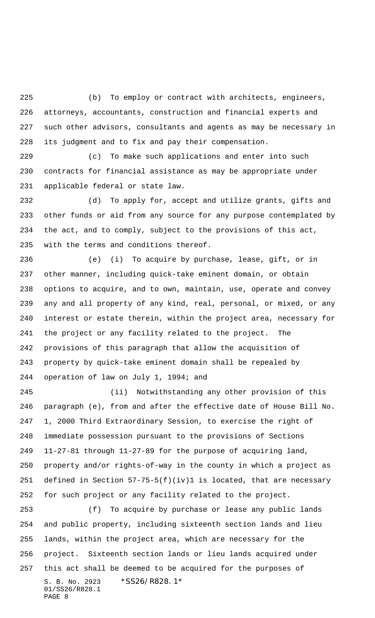(b) To employ or contract with architects, engineers, attorneys, accountants, construction and financial experts and such other advisors, consultants and agents as may be necessary in its judgment and to fix and pay their compensation.

 (c) To make such applications and enter into such contracts for financial assistance as may be appropriate under applicable federal or state law.

 (d) To apply for, accept and utilize grants, gifts and other funds or aid from any source for any purpose contemplated by the act, and to comply, subject to the provisions of this act, with the terms and conditions thereof.

 (e) (i) To acquire by purchase, lease, gift, or in other manner, including quick-take eminent domain, or obtain options to acquire, and to own, maintain, use, operate and convey any and all property of any kind, real, personal, or mixed, or any interest or estate therein, within the project area, necessary for the project or any facility related to the project. The provisions of this paragraph that allow the acquisition of property by quick-take eminent domain shall be repealed by operation of law on July 1, 1994; and

 (ii) Notwithstanding any other provision of this paragraph (e), from and after the effective date of House Bill No. 1, 2000 Third Extraordinary Session, to exercise the right of immediate possession pursuant to the provisions of Sections 11-27-81 through 11-27-89 for the purpose of acquiring land, property and/or rights-of-way in the county in which a project as defined in Section 57-75-5(f)(iv)1 is located, that are necessary for such project or any facility related to the project.

S. B. No. 2923 \*SS26/R828.1\* 01/SS26/R828.1 PAGE 8 (f) To acquire by purchase or lease any public lands and public property, including sixteenth section lands and lieu lands, within the project area, which are necessary for the project. Sixteenth section lands or lieu lands acquired under this act shall be deemed to be acquired for the purposes of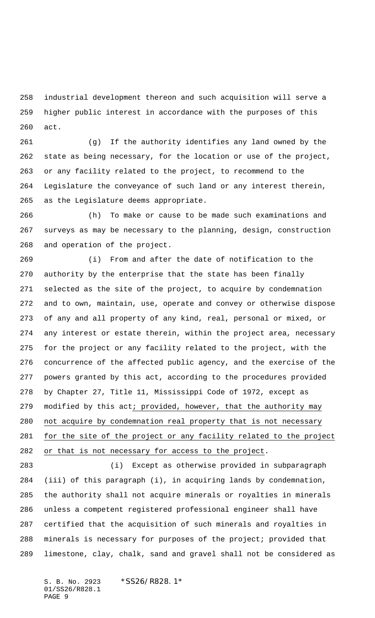industrial development thereon and such acquisition will serve a higher public interest in accordance with the purposes of this act.

 (g) If the authority identifies any land owned by the state as being necessary, for the location or use of the project, or any facility related to the project, to recommend to the Legislature the conveyance of such land or any interest therein, as the Legislature deems appropriate.

 (h) To make or cause to be made such examinations and surveys as may be necessary to the planning, design, construction and operation of the project.

 (i) From and after the date of notification to the authority by the enterprise that the state has been finally selected as the site of the project, to acquire by condemnation and to own, maintain, use, operate and convey or otherwise dispose of any and all property of any kind, real, personal or mixed, or any interest or estate therein, within the project area, necessary for the project or any facility related to the project, with the concurrence of the affected public agency, and the exercise of the powers granted by this act, according to the procedures provided by Chapter 27, Title 11, Mississippi Code of 1972, except as modified by this act; provided, however, that the authority may not acquire by condemnation real property that is not necessary for the site of the project or any facility related to the project or that is not necessary for access to the project.

 (i) Except as otherwise provided in subparagraph (iii) of this paragraph (i), in acquiring lands by condemnation, the authority shall not acquire minerals or royalties in minerals unless a competent registered professional engineer shall have certified that the acquisition of such minerals and royalties in minerals is necessary for purposes of the project; provided that limestone, clay, chalk, sand and gravel shall not be considered as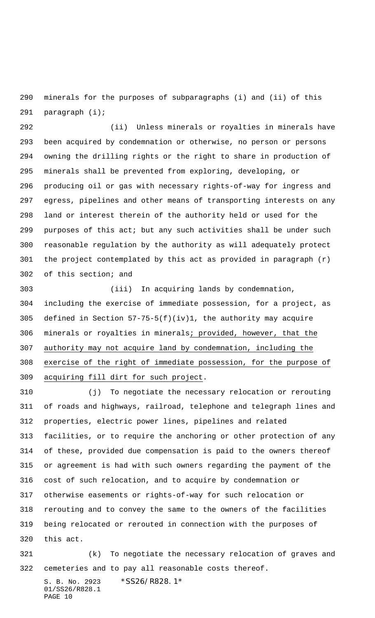minerals for the purposes of subparagraphs (i) and (ii) of this paragraph (i);

 (ii) Unless minerals or royalties in minerals have been acquired by condemnation or otherwise, no person or persons owning the drilling rights or the right to share in production of minerals shall be prevented from exploring, developing, or producing oil or gas with necessary rights-of-way for ingress and egress, pipelines and other means of transporting interests on any land or interest therein of the authority held or used for the purposes of this act; but any such activities shall be under such reasonable regulation by the authority as will adequately protect the project contemplated by this act as provided in paragraph (r) of this section; and

 (iii) In acquiring lands by condemnation, including the exercise of immediate possession, for a project, as defined in Section 57-75-5(f)(iv)1, the authority may acquire 306 minerals or royalties in minerals; provided, however, that the authority may not acquire land by condemnation, including the exercise of the right of immediate possession, for the purpose of acquiring fill dirt for such project.

 (j) To negotiate the necessary relocation or rerouting of roads and highways, railroad, telephone and telegraph lines and properties, electric power lines, pipelines and related facilities, or to require the anchoring or other protection of any of these, provided due compensation is paid to the owners thereof or agreement is had with such owners regarding the payment of the cost of such relocation, and to acquire by condemnation or otherwise easements or rights-of-way for such relocation or rerouting and to convey the same to the owners of the facilities being relocated or rerouted in connection with the purposes of this act.

 (k) To negotiate the necessary relocation of graves and cemeteries and to pay all reasonable costs thereof.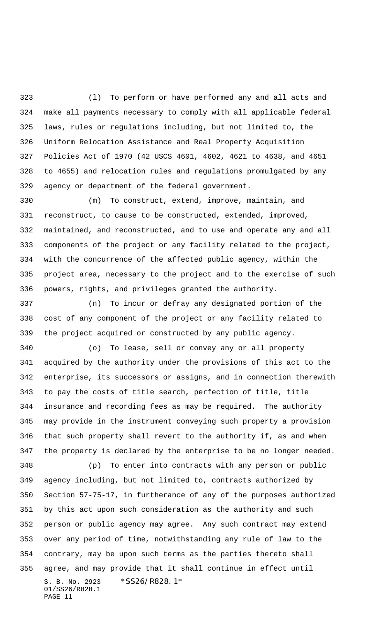(l) To perform or have performed any and all acts and make all payments necessary to comply with all applicable federal laws, rules or regulations including, but not limited to, the Uniform Relocation Assistance and Real Property Acquisition Policies Act of 1970 (42 USCS 4601, 4602, 4621 to 4638, and 4651 to 4655) and relocation rules and regulations promulgated by any agency or department of the federal government.

 (m) To construct, extend, improve, maintain, and reconstruct, to cause to be constructed, extended, improved, maintained, and reconstructed, and to use and operate any and all components of the project or any facility related to the project, with the concurrence of the affected public agency, within the project area, necessary to the project and to the exercise of such powers, rights, and privileges granted the authority.

 (n) To incur or defray any designated portion of the cost of any component of the project or any facility related to the project acquired or constructed by any public agency.

 (o) To lease, sell or convey any or all property acquired by the authority under the provisions of this act to the enterprise, its successors or assigns, and in connection therewith to pay the costs of title search, perfection of title, title insurance and recording fees as may be required. The authority may provide in the instrument conveying such property a provision that such property shall revert to the authority if, as and when the property is declared by the enterprise to be no longer needed.

S. B. No. 2923 \*SS26/R828.1\* 01/SS26/R828.1 PAGE 11 (p) To enter into contracts with any person or public agency including, but not limited to, contracts authorized by Section 57-75-17, in furtherance of any of the purposes authorized by this act upon such consideration as the authority and such person or public agency may agree. Any such contract may extend over any period of time, notwithstanding any rule of law to the contrary, may be upon such terms as the parties thereto shall agree, and may provide that it shall continue in effect until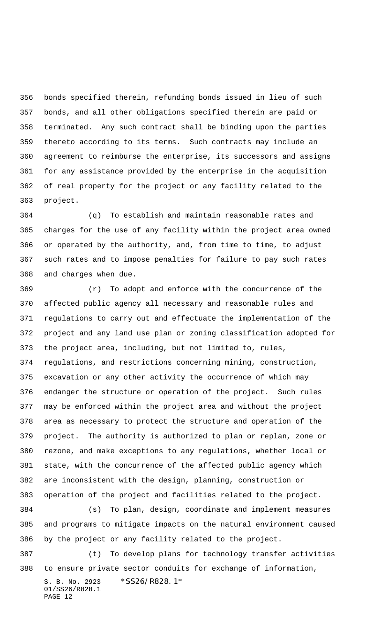bonds specified therein, refunding bonds issued in lieu of such bonds, and all other obligations specified therein are paid or terminated. Any such contract shall be binding upon the parties thereto according to its terms. Such contracts may include an agreement to reimburse the enterprise, its successors and assigns for any assistance provided by the enterprise in the acquisition of real property for the project or any facility related to the project.

 (q) To establish and maintain reasonable rates and charges for the use of any facility within the project area owned or operated by the authority, and, from time to time, to adjust such rates and to impose penalties for failure to pay such rates and charges when due.

 (r) To adopt and enforce with the concurrence of the affected public agency all necessary and reasonable rules and regulations to carry out and effectuate the implementation of the project and any land use plan or zoning classification adopted for the project area, including, but not limited to, rules, regulations, and restrictions concerning mining, construction, excavation or any other activity the occurrence of which may endanger the structure or operation of the project. Such rules may be enforced within the project area and without the project area as necessary to protect the structure and operation of the project. The authority is authorized to plan or replan, zone or rezone, and make exceptions to any regulations, whether local or state, with the concurrence of the affected public agency which are inconsistent with the design, planning, construction or operation of the project and facilities related to the project.

 (s) To plan, design, coordinate and implement measures and programs to mitigate impacts on the natural environment caused by the project or any facility related to the project.

S. B. No. 2923 \*SS26/R828.1\* (t) To develop plans for technology transfer activities to ensure private sector conduits for exchange of information,

01/SS26/R828.1 PAGE 12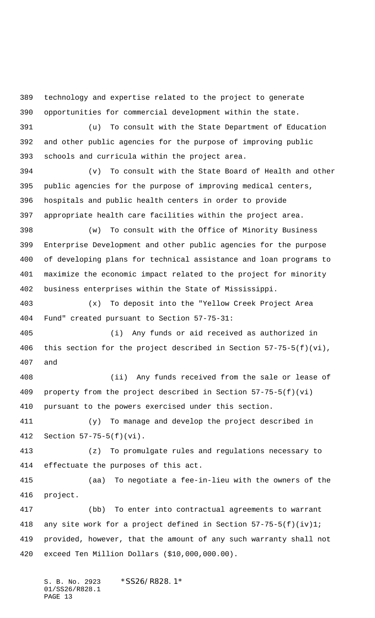technology and expertise related to the project to generate opportunities for commercial development within the state.

 (u) To consult with the State Department of Education and other public agencies for the purpose of improving public schools and curricula within the project area.

 (v) To consult with the State Board of Health and other public agencies for the purpose of improving medical centers, hospitals and public health centers in order to provide appropriate health care facilities within the project area.

 (w) To consult with the Office of Minority Business Enterprise Development and other public agencies for the purpose of developing plans for technical assistance and loan programs to maximize the economic impact related to the project for minority business enterprises within the State of Mississippi.

 (x) To deposit into the "Yellow Creek Project Area Fund" created pursuant to Section 57-75-31:

 (i) Any funds or aid received as authorized in this section for the project described in Section 57-75-5(f)(vi), and

 (ii) Any funds received from the sale or lease of property from the project described in Section 57-75-5(f)(vi) pursuant to the powers exercised under this section.

 (y) To manage and develop the project described in Section 57-75-5(f)(vi).

 (z) To promulgate rules and regulations necessary to effectuate the purposes of this act.

 (aa) To negotiate a fee-in-lieu with the owners of the project.

 (bb) To enter into contractual agreements to warrant any site work for a project defined in Section 57-75-5(f)(iv)1; provided, however, that the amount of any such warranty shall not exceed Ten Million Dollars (\$10,000,000.00).